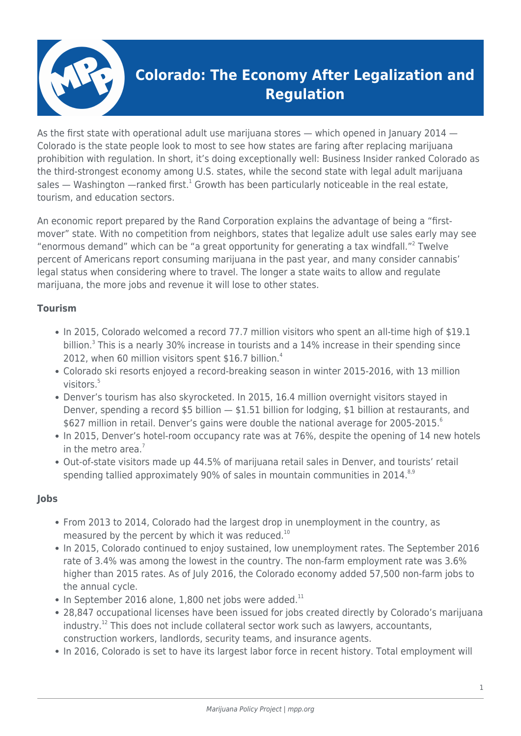

# **Colorado: The Economy After Legalization and Regulation**

As the first state with operational adult use marijuana stores — which opened in January 2014 — Colorado is the state people look to most to see how states are faring after replacing marijuana prohibition with regulation. In short, it's doing exceptionally well: Business Insider ranked Colorado as the third-strongest economy among U.S. states, while the second state with legal adult marijuana sales — Washington —ranked first.<sup>1</sup> Growth has been particularly noticeable in the real estate, tourism, and education sectors.

An economic report prepared by the Rand Corporation explains the advantage of being a "firstmover" state. With no competition from neighbors, states that legalize adult use sales early may see "enormous demand" which can be "a great opportunity for generating a tax windfall."<sup>2</sup> Twelve percent of Americans report consuming marijuana in the past year, and many consider cannabis' legal status when considering where to travel. The longer a state waits to allow and regulate marijuana, the more jobs and revenue it will lose to other states.

# **Tourism**

- In 2015, Colorado welcomed a record 77.7 million visitors who spent an all-time high of \$19.1 billion.<sup>3</sup> This is a nearly 30% increase in tourists and a 14% increase in their spending since 2012, when 60 million visitors spent \$16.7 billion.<sup>4</sup>
- Colorado ski resorts enjoyed a record-breaking season in winter 2015-2016, with 13 million visitors.<sup>5</sup>
- Denver's tourism has also skyrocketed. In 2015, 16.4 million overnight visitors stayed in Denver, spending a record \$5 billion — \$1.51 billion for lodging, \$1 billion at restaurants, and \$627 million in retail. Denver's gains were double the national average for 2005-2015. $^6$
- In 2015, Denver's hotel-room occupancy rate was at 76%, despite the opening of 14 new hotels in the metro area. $<sup>7</sup>$ </sup>
- Out-of-state visitors made up 44.5% of marijuana retail sales in Denver, and tourists' retail spending tallied approximately 90% of sales in mountain communities in 2014. $8,9$

#### **Jobs**

- From 2013 to 2014, Colorado had the largest drop in unemployment in the country, as measured by the percent by which it was reduced.<sup>10</sup>
- In 2015, Colorado continued to enjoy sustained, low unemployment rates. The September 2016 rate of 3.4% was among the lowest in the country. The non-farm employment rate was 3.6% higher than 2015 rates. As of July 2016, the Colorado economy added 57,500 non-farm jobs to the annual cycle.
- $\bullet$  In September 2016 alone, 1,800 net jobs were added.<sup>11</sup>
- 28,847 occupational licenses have been issued for jobs created directly by Colorado's marijuana  $industry.<sup>12</sup>$  This does not include collateral sector work such as lawyers, accountants, construction workers, landlords, security teams, and insurance agents.
- In 2016, Colorado is set to have its largest labor force in recent history. Total employment will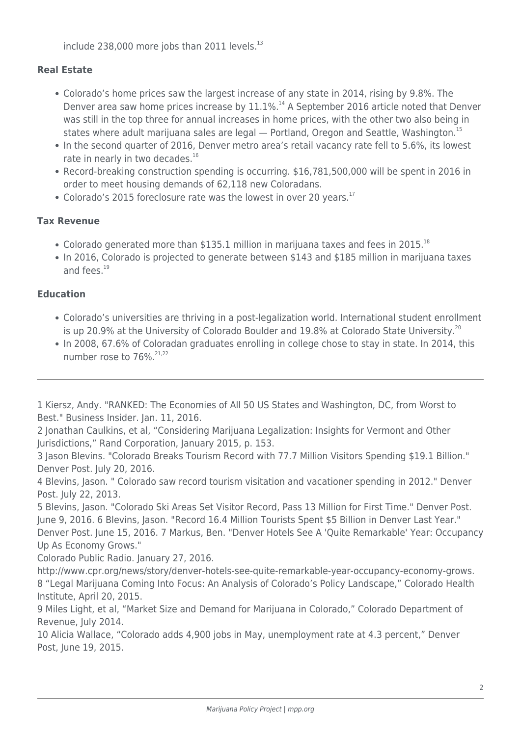include 238,000 more jobs than 2011 levels. $^{13}$ 

# **Real Estate**

- Colorado's home prices saw the largest increase of any state in 2014, rising by 9.8%. The Denver area saw home prices increase by  $11.1\%$ .<sup>14</sup> A September 2016 article noted that Denver was still in the top three for annual increases in home prices, with the other two also being in states where adult marijuana sales are legal  $-$  Portland, Oregon and Seattle, Washington.<sup>15</sup>
- In the second quarter of 2016, Denver metro area's retail vacancy rate fell to 5.6%, its lowest rate in nearly in two decades.<sup>16</sup>
- Record-breaking construction spending is occurring. \$16,781,500,000 will be spent in 2016 in order to meet housing demands of 62,118 new Coloradans.
- Colorado's 2015 foreclosure rate was the lowest in over 20 years.<sup>17</sup>

# **Tax Revenue**

- Colorado generated more than \$135.1 million in marijuana taxes and fees in 2015.<sup>18</sup>
- In 2016, Colorado is projected to generate between \$143 and \$185 million in marijuana taxes and fees.<sup>19</sup>

# **Education**

- Colorado's universities are thriving in a post-legalization world. International student enrollment is up 20.9% at the University of Colorado Boulder and 19.8% at Colorado State University.<sup>20</sup>
- In 2008, 67.6% of Coloradan graduates enrolling in college chose to stay in state. In 2014, this number rose to  $76\%^{21,22}$

1 Kiersz, Andy. "RANKED: The Economies of All 50 US States and Washington, DC, from Worst to Best." Business Insider. Jan. 11, 2016.

2 Jonathan Caulkins, et al, "Considering Marijuana Legalization: Insights for Vermont and Other Jurisdictions," Rand Corporation, January 2015, p. 153.

3 Jason Blevins. "Colorado Breaks Tourism Record with 77.7 Million Visitors Spending \$19.1 Billion." Denver Post. July 20, 2016.

4 Blevins, Jason. " Colorado saw record tourism visitation and vacationer spending in 2012." Denver Post. July 22, 2013.

5 Blevins, Jason. "Colorado Ski Areas Set Visitor Record, Pass 13 Million for First Time." Denver Post. June 9, 2016. 6 Blevins, Jason. "Record 16.4 Million Tourists Spent \$5 Billion in Denver Last Year." Denver Post. June 15, 2016. 7 Markus, Ben. "Denver Hotels See A 'Quite Remarkable' Year: Occupancy Up As Economy Grows."

Colorado Public Radio. January 27, 2016.

http://www.cpr.org/news/story/denver-hotels-see-quite-remarkable-year-occupancy-economy-grows. 8 "Legal Marijuana Coming Into Focus: An Analysis of Colorado's Policy Landscape," Colorado Health Institute, April 20, 2015.

9 Miles Light, et al, "Market Size and Demand for Marijuana in Colorado," Colorado Department of Revenue, July 2014.

10 Alicia Wallace, "Colorado adds 4,900 jobs in May, unemployment rate at 4.3 percent," Denver Post, June 19, 2015.